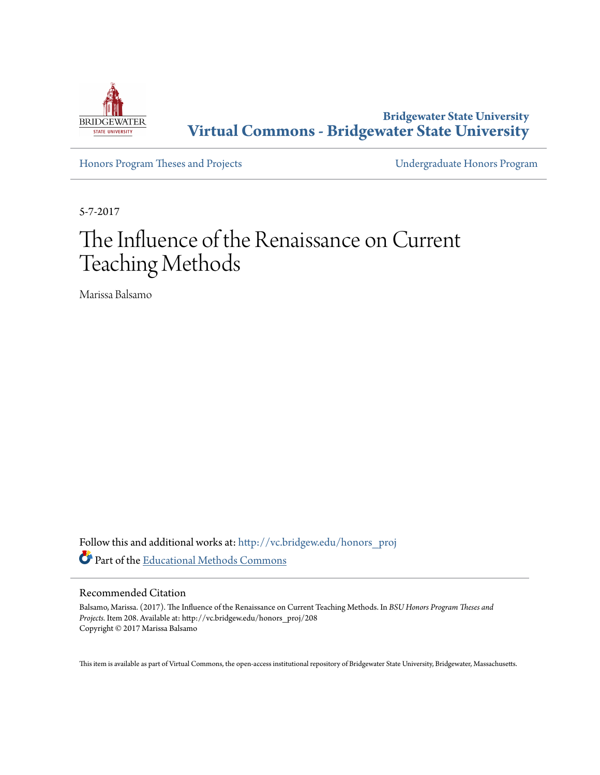

**Bridgewater State University [Virtual Commons - Bridgewater State University](http://vc.bridgew.edu?utm_source=vc.bridgew.edu%2Fhonors_proj%2F208&utm_medium=PDF&utm_campaign=PDFCoverPages)**

[Honors Program Theses and Projects](http://vc.bridgew.edu/honors_proj?utm_source=vc.bridgew.edu%2Fhonors_proj%2F208&utm_medium=PDF&utm_campaign=PDFCoverPages) [Undergraduate Honors Program](http://vc.bridgew.edu/honors?utm_source=vc.bridgew.edu%2Fhonors_proj%2F208&utm_medium=PDF&utm_campaign=PDFCoverPages)

5-7-2017

## The Influence of the Renaissance on Current Teaching Methods

Marissa Balsamo

Follow this and additional works at: [http://vc.bridgew.edu/honors\\_proj](http://vc.bridgew.edu/honors_proj?utm_source=vc.bridgew.edu%2Fhonors_proj%2F208&utm_medium=PDF&utm_campaign=PDFCoverPages) Part of the [Educational Methods Commons](http://network.bepress.com/hgg/discipline/1227?utm_source=vc.bridgew.edu%2Fhonors_proj%2F208&utm_medium=PDF&utm_campaign=PDFCoverPages)

## Recommended Citation

Balsamo, Marissa. (2017). The Influence of the Renaissance on Current Teaching Methods. In *BSU Honors Program Theses and Projects.* Item 208. Available at: http://vc.bridgew.edu/honors\_proj/208 Copyright © 2017 Marissa Balsamo

This item is available as part of Virtual Commons, the open-access institutional repository of Bridgewater State University, Bridgewater, Massachusetts.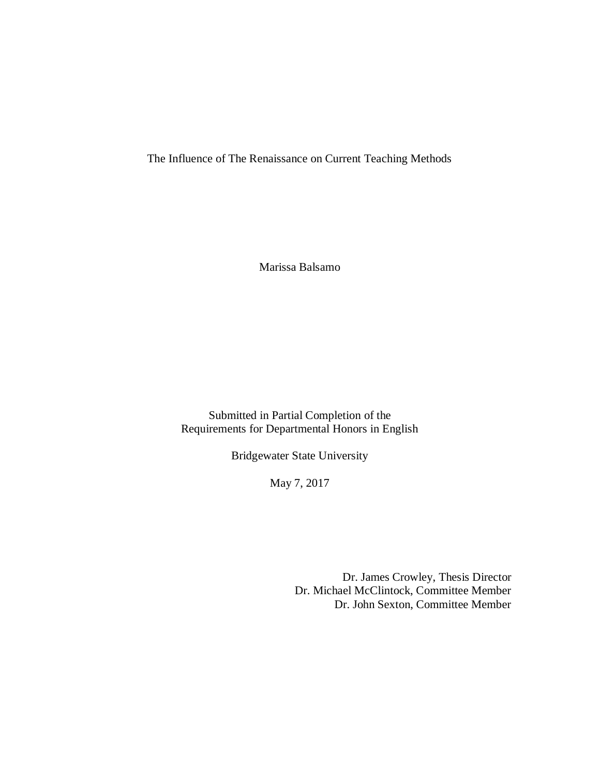The Influence of The Renaissance on Current Teaching Methods

Marissa Balsamo

Submitted in Partial Completion of the Requirements for Departmental Honors in English

Bridgewater State University

May 7, 2017

Dr. James Crowley, Thesis Director Dr. Michael McClintock, Committee Member Dr. John Sexton, Committee Member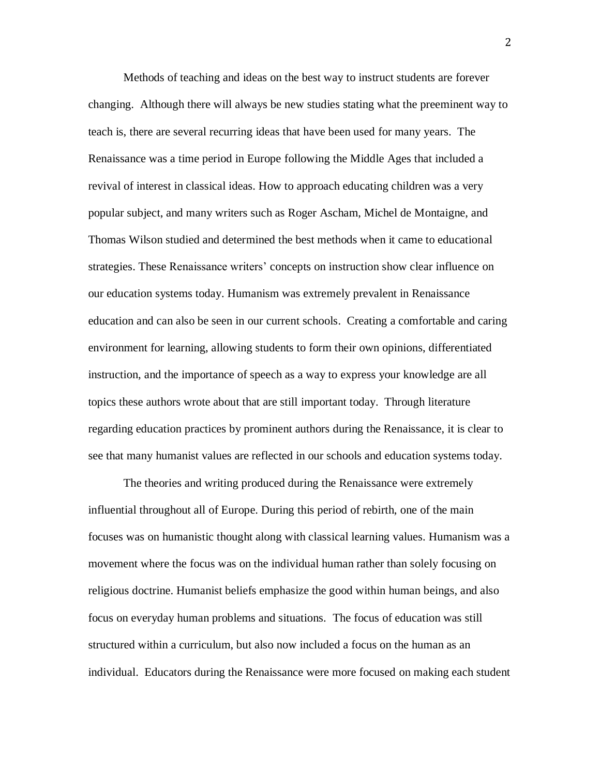Methods of teaching and ideas on the best way to instruct students are forever changing. Although there will always be new studies stating what the preeminent way to teach is, there are several recurring ideas that have been used for many years. The Renaissance was a time period in Europe following the Middle Ages that included a revival of interest in classical ideas. How to approach educating children was a very popular subject, and many writers such as Roger Ascham, Michel de Montaigne, and Thomas Wilson studied and determined the best methods when it came to educational strategies. These Renaissance writers' concepts on instruction show clear influence on our education systems today. Humanism was extremely prevalent in Renaissance education and can also be seen in our current schools. Creating a comfortable and caring environment for learning, allowing students to form their own opinions, differentiated instruction, and the importance of speech as a way to express your knowledge are all topics these authors wrote about that are still important today. Through literature regarding education practices by prominent authors during the Renaissance, it is clear to see that many humanist values are reflected in our schools and education systems today.

The theories and writing produced during the Renaissance were extremely influential throughout all of Europe. During this period of rebirth, one of the main focuses was on humanistic thought along with classical learning values. Humanism was a movement where the focus was on the individual human rather than solely focusing on religious doctrine. Humanist beliefs emphasize the good within human beings, and also focus on everyday human problems and situations. The focus of education was still structured within a curriculum, but also now included a focus on the human as an individual. Educators during the Renaissance were more focused on making each student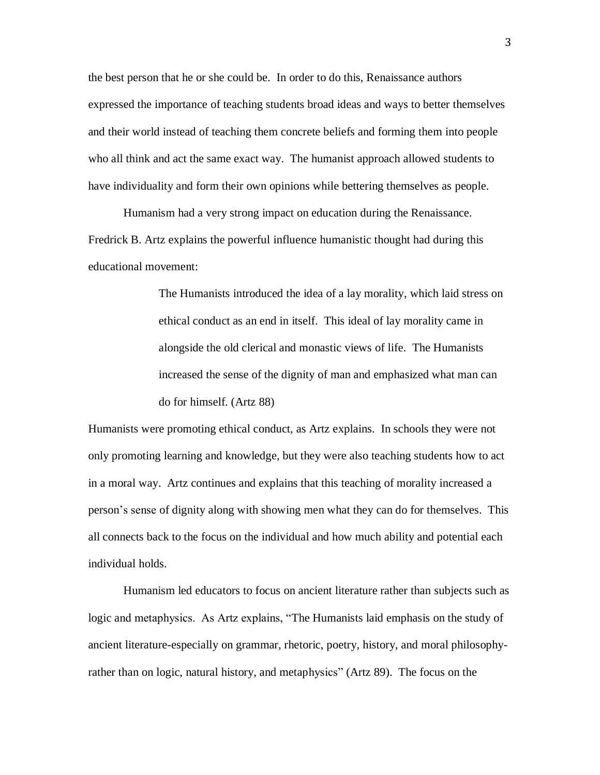the best person that he or she could be. In order to do this, Renaissance authors expressed the importance of teaching students broad ideas and ways to better themselves and their world instead of teaching them concrete beliefs and forming them into people who all think and act the same exact way. The humanist approach allowed students to have individuality and form their own opinions while bettering themselves as people.

Humanism had a very strong impact on education during the Renaissance. Fredrick B. Artz explains the powerful influence humanistic thought had during this educational movement:

> The Humanists introduced the idea of a lay morality, which laid stress on ethical conduct as an end in itself. This ideal of lay morality came in alongside the old clerical and monastic views of life. The Humanists increased the sense of the dignity of man and emphasized what man can do for himself. (Artz 88)

Humanists were promoting ethical conduct, as Artz explains. In schools they were not only promoting learning and knowledge, but they were also teaching students how to act in a moral way. Artz continues and explains that this teaching of morality increased a person's sense of dignity along with showing men what they can do for themselves. This all connects back to the focus on the individual and how much ability and potential each individual holds.

Humanism led educators to focus on ancient literature rather than subjects such as logic and metaphysics. As Artz explains, "The Humanists laid emphasis on the study of ancient literature-especially on grammar, rhetoric, poetry, history, and moral philosophyrather than on logic, natural history, and metaphysics" (Artz 89). The focus on the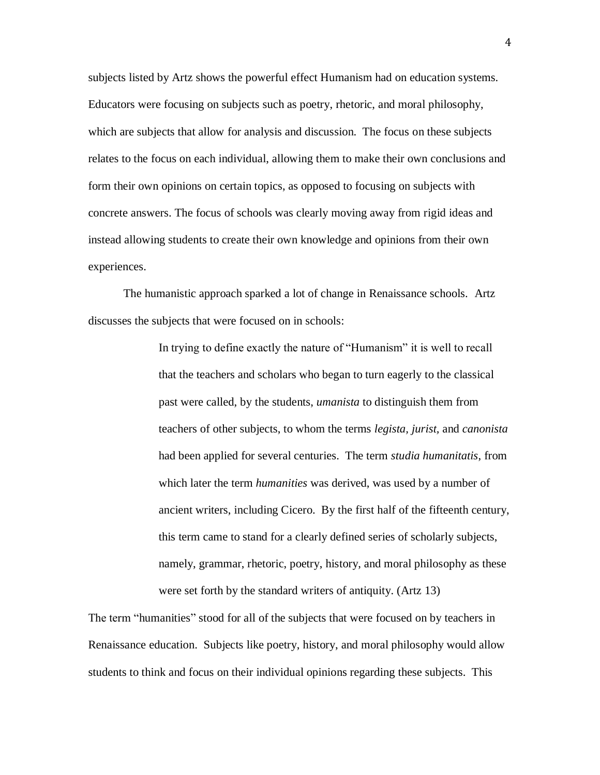subjects listed by Artz shows the powerful effect Humanism had on education systems. Educators were focusing on subjects such as poetry, rhetoric, and moral philosophy, which are subjects that allow for analysis and discussion. The focus on these subjects relates to the focus on each individual, allowing them to make their own conclusions and form their own opinions on certain topics, as opposed to focusing on subjects with concrete answers. The focus of schools was clearly moving away from rigid ideas and instead allowing students to create their own knowledge and opinions from their own experiences.

The humanistic approach sparked a lot of change in Renaissance schools. Artz discusses the subjects that were focused on in schools:

> In trying to define exactly the nature of "Humanism" it is well to recall that the teachers and scholars who began to turn eagerly to the classical past were called, by the students, *umanista* to distinguish them from teachers of other subjects, to whom the terms *legista, jurist,* and *canonista*  had been applied for several centuries. The term *studia humanitatis*, from which later the term *humanities* was derived, was used by a number of ancient writers, including Cicero. By the first half of the fifteenth century, this term came to stand for a clearly defined series of scholarly subjects, namely, grammar, rhetoric, poetry, history, and moral philosophy as these were set forth by the standard writers of antiquity. (Artz 13)

The term "humanities" stood for all of the subjects that were focused on by teachers in Renaissance education. Subjects like poetry, history, and moral philosophy would allow students to think and focus on their individual opinions regarding these subjects. This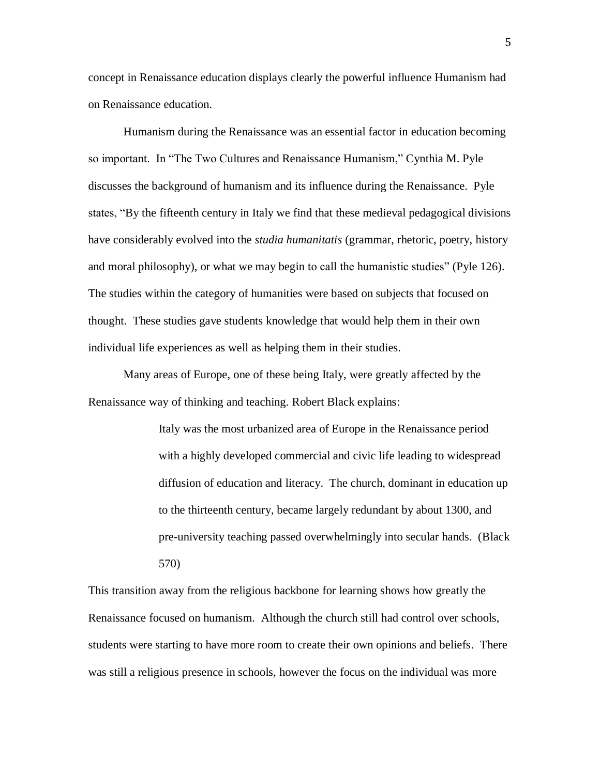concept in Renaissance education displays clearly the powerful influence Humanism had on Renaissance education.

Humanism during the Renaissance was an essential factor in education becoming so important. In "The Two Cultures and Renaissance Humanism," Cynthia M. Pyle discusses the background of humanism and its influence during the Renaissance. Pyle states, "By the fifteenth century in Italy we find that these medieval pedagogical divisions have considerably evolved into the *studia humanitatis* (grammar, rhetoric, poetry, history and moral philosophy), or what we may begin to call the humanistic studies" (Pyle 126). The studies within the category of humanities were based on subjects that focused on thought. These studies gave students knowledge that would help them in their own individual life experiences as well as helping them in their studies.

Many areas of Europe, one of these being Italy, were greatly affected by the Renaissance way of thinking and teaching. Robert Black explains:

> Italy was the most urbanized area of Europe in the Renaissance period with a highly developed commercial and civic life leading to widespread diffusion of education and literacy. The church, dominant in education up to the thirteenth century, became largely redundant by about 1300, and pre-university teaching passed overwhelmingly into secular hands. (Black 570)

This transition away from the religious backbone for learning shows how greatly the Renaissance focused on humanism. Although the church still had control over schools, students were starting to have more room to create their own opinions and beliefs. There was still a religious presence in schools, however the focus on the individual was more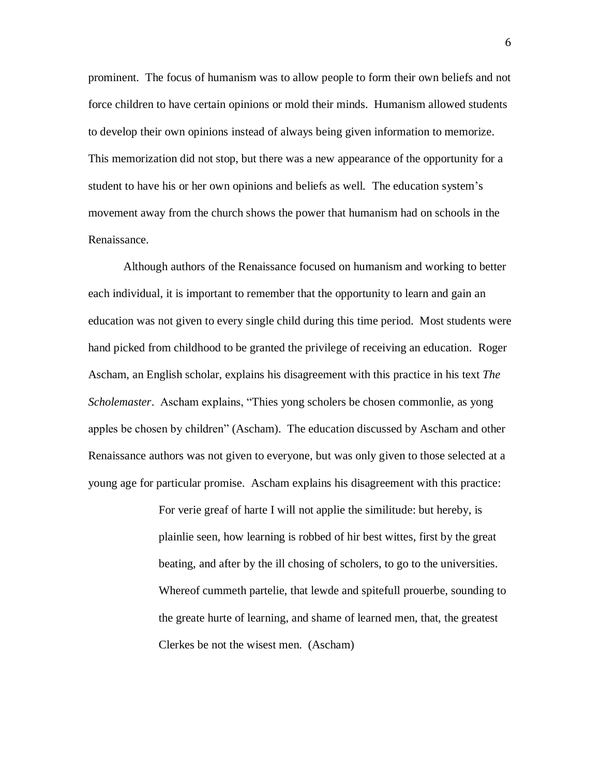prominent. The focus of humanism was to allow people to form their own beliefs and not force children to have certain opinions or mold their minds. Humanism allowed students to develop their own opinions instead of always being given information to memorize. This memorization did not stop, but there was a new appearance of the opportunity for a student to have his or her own opinions and beliefs as well. The education system's movement away from the church shows the power that humanism had on schools in the Renaissance.

Although authors of the Renaissance focused on humanism and working to better each individual, it is important to remember that the opportunity to learn and gain an education was not given to every single child during this time period. Most students were hand picked from childhood to be granted the privilege of receiving an education. Roger Ascham, an English scholar, explains his disagreement with this practice in his text *The Scholemaster*. Ascham explains, "Thies yong scholers be chosen commonlie, as yong apples be chosen by children" (Ascham). The education discussed by Ascham and other Renaissance authors was not given to everyone, but was only given to those selected at a young age for particular promise. Ascham explains his disagreement with this practice:

> For verie greaf of harte I will not applie the similitude: but hereby, is plainlie seen, how learning is robbed of hir best wittes, first by the great beating, and after by the ill chosing of scholers, to go to the universities. Whereof cummeth partelie, that lewde and spitefull prouerbe, sounding to the greate hurte of learning, and shame of learned men, that, the greatest Clerkes be not the wisest men. (Ascham)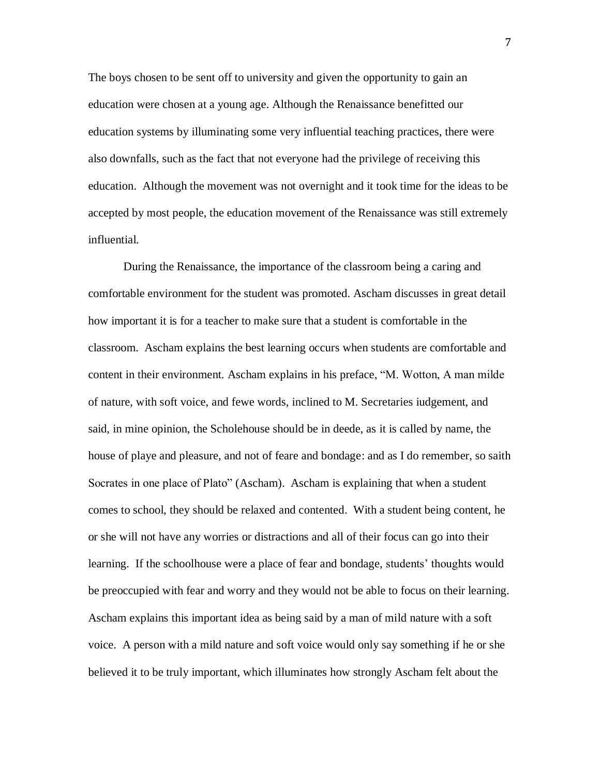The boys chosen to be sent off to university and given the opportunity to gain an education were chosen at a young age. Although the Renaissance benefitted our education systems by illuminating some very influential teaching practices, there were also downfalls, such as the fact that not everyone had the privilege of receiving this education. Although the movement was not overnight and it took time for the ideas to be accepted by most people, the education movement of the Renaissance was still extremely influential.

During the Renaissance, the importance of the classroom being a caring and comfortable environment for the student was promoted. Ascham discusses in great detail how important it is for a teacher to make sure that a student is comfortable in the classroom. Ascham explains the best learning occurs when students are comfortable and content in their environment. Ascham explains in his preface, "M. Wotton, A man milde of nature, with soft voice, and fewe words, inclined to M. Secretaries iudgement, and said, in mine opinion, the Scholehouse should be in deede, as it is called by name, the house of playe and pleasure, and not of feare and bondage: and as I do remember, so saith Socrates in one place of Plato" (Ascham). Ascham is explaining that when a student comes to school, they should be relaxed and contented. With a student being content, he or she will not have any worries or distractions and all of their focus can go into their learning. If the schoolhouse were a place of fear and bondage, students' thoughts would be preoccupied with fear and worry and they would not be able to focus on their learning. Ascham explains this important idea as being said by a man of mild nature with a soft voice. A person with a mild nature and soft voice would only say something if he or she believed it to be truly important, which illuminates how strongly Ascham felt about the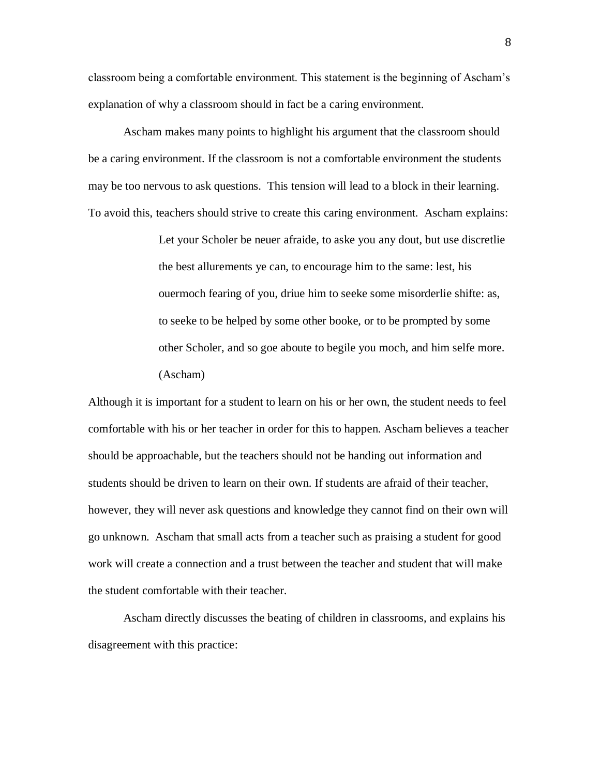classroom being a comfortable environment. This statement is the beginning of Ascham's explanation of why a classroom should in fact be a caring environment.

Ascham makes many points to highlight his argument that the classroom should be a caring environment. If the classroom is not a comfortable environment the students may be too nervous to ask questions. This tension will lead to a block in their learning. To avoid this, teachers should strive to create this caring environment. Ascham explains:

> Let your Scholer be neuer afraide, to aske you any dout, but use discretlie the best allurements ye can, to encourage him to the same: lest, his ouermoch fearing of you, driue him to seeke some misorderlie shifte: as, to seeke to be helped by some other booke, or to be prompted by some other Scholer, and so goe aboute to begile you moch, and him selfe more. (Ascham)

Although it is important for a student to learn on his or her own, the student needs to feel comfortable with his or her teacher in order for this to happen. Ascham believes a teacher should be approachable, but the teachers should not be handing out information and students should be driven to learn on their own. If students are afraid of their teacher, however, they will never ask questions and knowledge they cannot find on their own will go unknown. Ascham that small acts from a teacher such as praising a student for good work will create a connection and a trust between the teacher and student that will make the student comfortable with their teacher.

Ascham directly discusses the beating of children in classrooms, and explains his disagreement with this practice:

8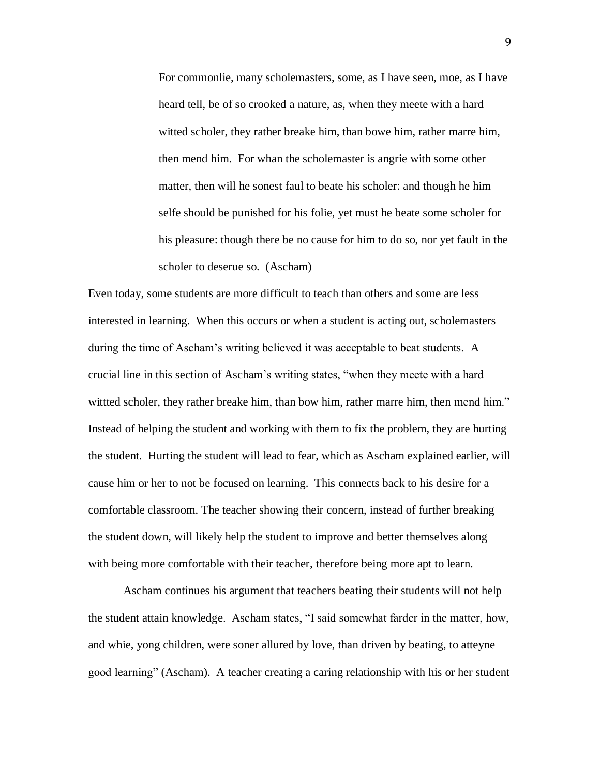For commonlie, many scholemasters, some, as I have seen, moe, as I have heard tell, be of so crooked a nature, as, when they meete with a hard witted scholer, they rather breake him, than bowe him, rather marre him, then mend him. For whan the scholemaster is angrie with some other matter, then will he sonest faul to beate his scholer: and though he him selfe should be punished for his folie, yet must he beate some scholer for his pleasure: though there be no cause for him to do so, nor yet fault in the scholer to deserue so. (Ascham)

Even today, some students are more difficult to teach than others and some are less interested in learning. When this occurs or when a student is acting out, scholemasters during the time of Ascham's writing believed it was acceptable to beat students. A crucial line in this section of Ascham's writing states, "when they meete with a hard wittted scholer, they rather breake him, than bow him, rather marre him, then mend him." Instead of helping the student and working with them to fix the problem, they are hurting the student. Hurting the student will lead to fear, which as Ascham explained earlier, will cause him or her to not be focused on learning. This connects back to his desire for a comfortable classroom. The teacher showing their concern, instead of further breaking the student down, will likely help the student to improve and better themselves along with being more comfortable with their teacher, therefore being more apt to learn.

Ascham continues his argument that teachers beating their students will not help the student attain knowledge. Ascham states, "I said somewhat farder in the matter, how, and whie, yong children, were soner allured by love, than driven by beating, to atteyne good learning" (Ascham). A teacher creating a caring relationship with his or her student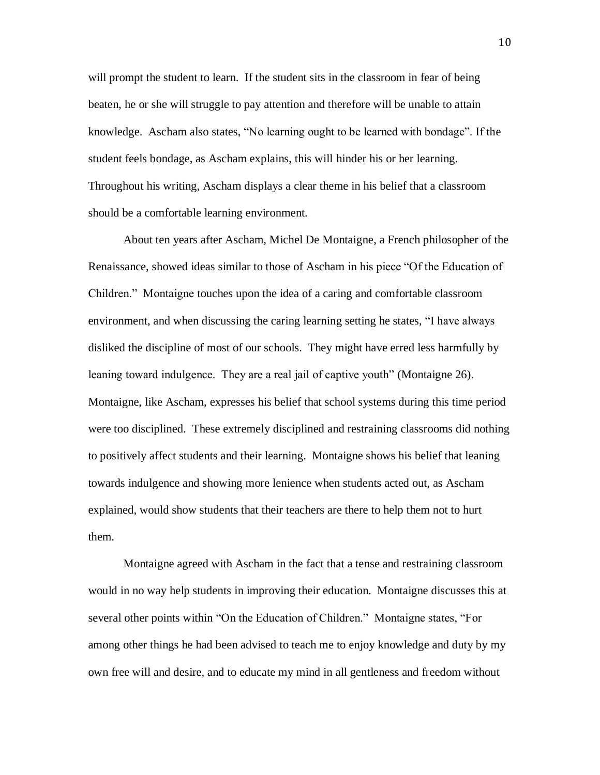will prompt the student to learn. If the student sits in the classroom in fear of being beaten, he or she will struggle to pay attention and therefore will be unable to attain knowledge. Ascham also states, "No learning ought to be learned with bondage". If the student feels bondage, as Ascham explains, this will hinder his or her learning. Throughout his writing, Ascham displays a clear theme in his belief that a classroom should be a comfortable learning environment.

About ten years after Ascham, Michel De Montaigne, a French philosopher of the Renaissance, showed ideas similar to those of Ascham in his piece "Of the Education of Children." Montaigne touches upon the idea of a caring and comfortable classroom environment, and when discussing the caring learning setting he states, "I have always disliked the discipline of most of our schools. They might have erred less harmfully by leaning toward indulgence. They are a real jail of captive youth" (Montaigne 26). Montaigne, like Ascham, expresses his belief that school systems during this time period were too disciplined. These extremely disciplined and restraining classrooms did nothing to positively affect students and their learning. Montaigne shows his belief that leaning towards indulgence and showing more lenience when students acted out, as Ascham explained, would show students that their teachers are there to help them not to hurt them.

Montaigne agreed with Ascham in the fact that a tense and restraining classroom would in no way help students in improving their education. Montaigne discusses this at several other points within "On the Education of Children." Montaigne states, "For among other things he had been advised to teach me to enjoy knowledge and duty by my own free will and desire, and to educate my mind in all gentleness and freedom without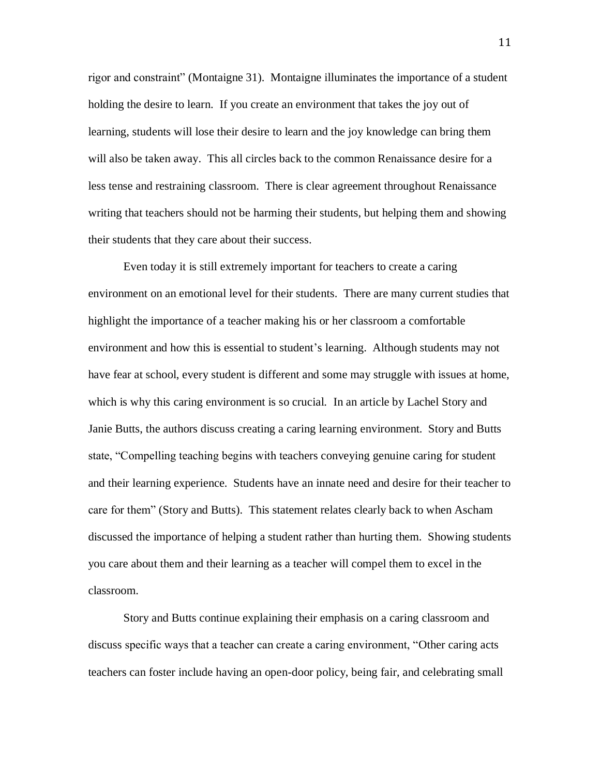rigor and constraint" (Montaigne 31). Montaigne illuminates the importance of a student holding the desire to learn. If you create an environment that takes the joy out of learning, students will lose their desire to learn and the joy knowledge can bring them will also be taken away. This all circles back to the common Renaissance desire for a less tense and restraining classroom. There is clear agreement throughout Renaissance writing that teachers should not be harming their students, but helping them and showing their students that they care about their success.

Even today it is still extremely important for teachers to create a caring environment on an emotional level for their students. There are many current studies that highlight the importance of a teacher making his or her classroom a comfortable environment and how this is essential to student's learning. Although students may not have fear at school, every student is different and some may struggle with issues at home, which is why this caring environment is so crucial. In an article by Lachel Story and Janie Butts, the authors discuss creating a caring learning environment. Story and Butts state, "Compelling teaching begins with teachers conveying genuine caring for student and their learning experience. Students have an innate need and desire for their teacher to care for them" (Story and Butts). This statement relates clearly back to when Ascham discussed the importance of helping a student rather than hurting them. Showing students you care about them and their learning as a teacher will compel them to excel in the classroom.

Story and Butts continue explaining their emphasis on a caring classroom and discuss specific ways that a teacher can create a caring environment, "Other caring acts teachers can foster include having an open-door policy, being fair, and celebrating small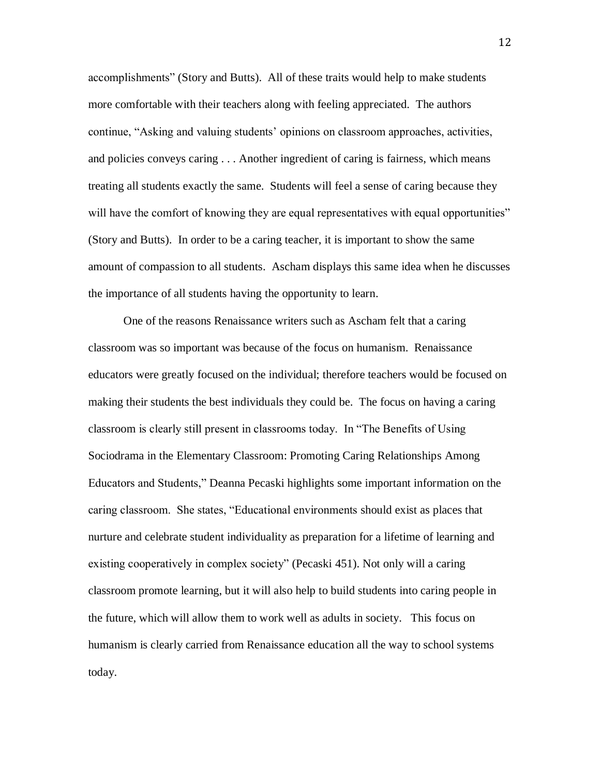accomplishments" (Story and Butts). All of these traits would help to make students more comfortable with their teachers along with feeling appreciated. The authors continue, "Asking and valuing students' opinions on classroom approaches, activities, and policies conveys caring . . . Another ingredient of caring is fairness, which means treating all students exactly the same. Students will feel a sense of caring because they will have the comfort of knowing they are equal representatives with equal opportunities" (Story and Butts). In order to be a caring teacher, it is important to show the same amount of compassion to all students. Ascham displays this same idea when he discusses the importance of all students having the opportunity to learn.

One of the reasons Renaissance writers such as Ascham felt that a caring classroom was so important was because of the focus on humanism. Renaissance educators were greatly focused on the individual; therefore teachers would be focused on making their students the best individuals they could be. The focus on having a caring classroom is clearly still present in classrooms today. In "The Benefits of Using Sociodrama in the Elementary Classroom: Promoting Caring Relationships Among Educators and Students," Deanna Pecaski highlights some important information on the caring classroom. She states, "Educational environments should exist as places that nurture and celebrate student individuality as preparation for a lifetime of learning and existing cooperatively in complex society" (Pecaski 451). Not only will a caring classroom promote learning, but it will also help to build students into caring people in the future, which will allow them to work well as adults in society. This focus on humanism is clearly carried from Renaissance education all the way to school systems today.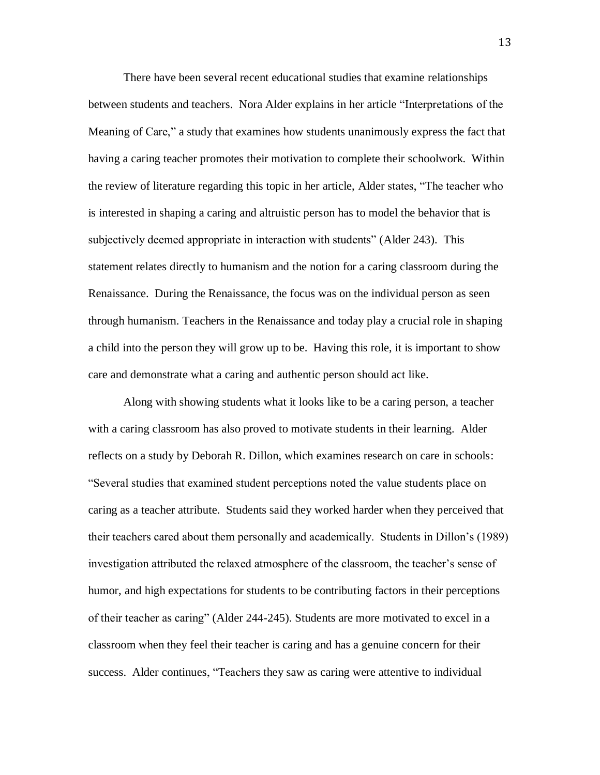There have been several recent educational studies that examine relationships between students and teachers. Nora Alder explains in her article "Interpretations of the Meaning of Care," a study that examines how students unanimously express the fact that having a caring teacher promotes their motivation to complete their schoolwork. Within the review of literature regarding this topic in her article, Alder states, "The teacher who is interested in shaping a caring and altruistic person has to model the behavior that is subjectively deemed appropriate in interaction with students" (Alder 243). This statement relates directly to humanism and the notion for a caring classroom during the Renaissance. During the Renaissance, the focus was on the individual person as seen through humanism. Teachers in the Renaissance and today play a crucial role in shaping a child into the person they will grow up to be. Having this role, it is important to show care and demonstrate what a caring and authentic person should act like.

Along with showing students what it looks like to be a caring person, a teacher with a caring classroom has also proved to motivate students in their learning. Alder reflects on a study by Deborah R. Dillon, which examines research on care in schools: "Several studies that examined student perceptions noted the value students place on caring as a teacher attribute. Students said they worked harder when they perceived that their teachers cared about them personally and academically. Students in Dillon's (1989) investigation attributed the relaxed atmosphere of the classroom, the teacher's sense of humor, and high expectations for students to be contributing factors in their perceptions of their teacher as caring" (Alder 244-245). Students are more motivated to excel in a classroom when they feel their teacher is caring and has a genuine concern for their success. Alder continues, "Teachers they saw as caring were attentive to individual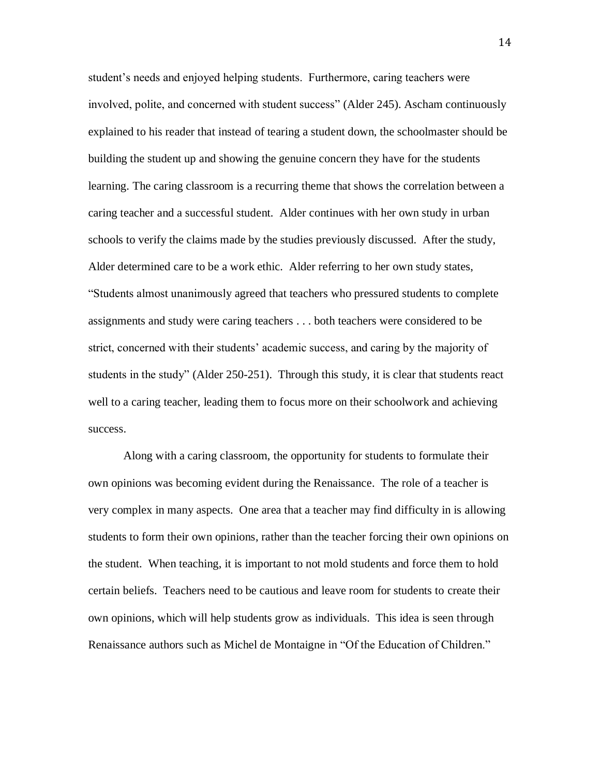student's needs and enjoyed helping students. Furthermore, caring teachers were involved, polite, and concerned with student success" (Alder 245). Ascham continuously explained to his reader that instead of tearing a student down, the schoolmaster should be building the student up and showing the genuine concern they have for the students learning. The caring classroom is a recurring theme that shows the correlation between a caring teacher and a successful student. Alder continues with her own study in urban schools to verify the claims made by the studies previously discussed. After the study, Alder determined care to be a work ethic. Alder referring to her own study states, "Students almost unanimously agreed that teachers who pressured students to complete assignments and study were caring teachers . . . both teachers were considered to be strict, concerned with their students' academic success, and caring by the majority of students in the study" (Alder 250-251). Through this study, it is clear that students react well to a caring teacher, leading them to focus more on their schoolwork and achieving success.

Along with a caring classroom, the opportunity for students to formulate their own opinions was becoming evident during the Renaissance. The role of a teacher is very complex in many aspects. One area that a teacher may find difficulty in is allowing students to form their own opinions, rather than the teacher forcing their own opinions on the student. When teaching, it is important to not mold students and force them to hold certain beliefs. Teachers need to be cautious and leave room for students to create their own opinions, which will help students grow as individuals. This idea is seen through Renaissance authors such as Michel de Montaigne in "Of the Education of Children."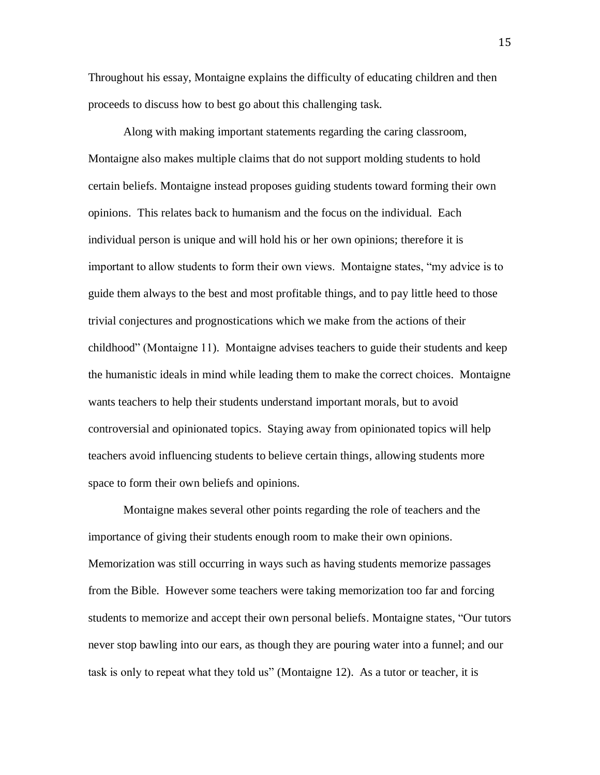Throughout his essay, Montaigne explains the difficulty of educating children and then proceeds to discuss how to best go about this challenging task.

Along with making important statements regarding the caring classroom, Montaigne also makes multiple claims that do not support molding students to hold certain beliefs. Montaigne instead proposes guiding students toward forming their own opinions. This relates back to humanism and the focus on the individual. Each individual person is unique and will hold his or her own opinions; therefore it is important to allow students to form their own views. Montaigne states, "my advice is to guide them always to the best and most profitable things, and to pay little heed to those trivial conjectures and prognostications which we make from the actions of their childhood" (Montaigne 11). Montaigne advises teachers to guide their students and keep the humanistic ideals in mind while leading them to make the correct choices. Montaigne wants teachers to help their students understand important morals, but to avoid controversial and opinionated topics. Staying away from opinionated topics will help teachers avoid influencing students to believe certain things, allowing students more space to form their own beliefs and opinions.

Montaigne makes several other points regarding the role of teachers and the importance of giving their students enough room to make their own opinions. Memorization was still occurring in ways such as having students memorize passages from the Bible. However some teachers were taking memorization too far and forcing students to memorize and accept their own personal beliefs. Montaigne states, "Our tutors never stop bawling into our ears, as though they are pouring water into a funnel; and our task is only to repeat what they told us" (Montaigne 12). As a tutor or teacher, it is

15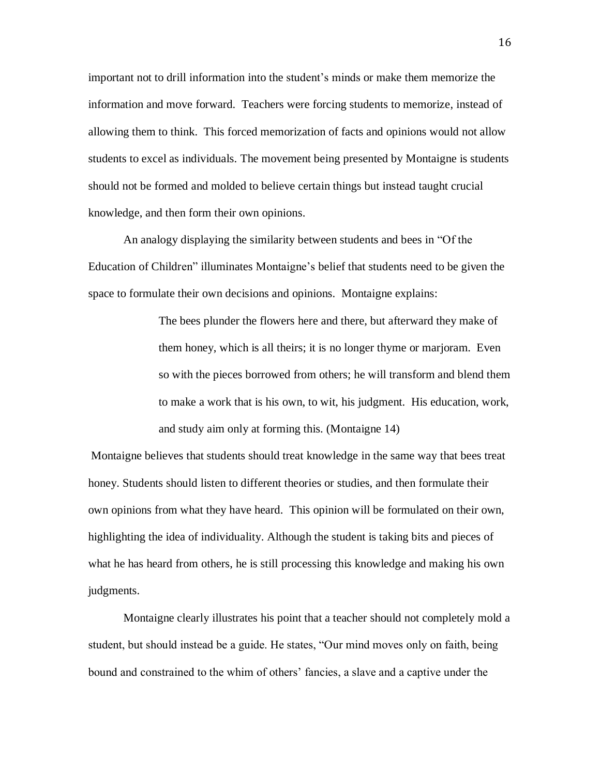important not to drill information into the student's minds or make them memorize the information and move forward. Teachers were forcing students to memorize, instead of allowing them to think. This forced memorization of facts and opinions would not allow students to excel as individuals. The movement being presented by Montaigne is students should not be formed and molded to believe certain things but instead taught crucial knowledge, and then form their own opinions.

An analogy displaying the similarity between students and bees in "Of the Education of Children" illuminates Montaigne's belief that students need to be given the space to formulate their own decisions and opinions. Montaigne explains:

> The bees plunder the flowers here and there, but afterward they make of them honey, which is all theirs; it is no longer thyme or marjoram. Even so with the pieces borrowed from others; he will transform and blend them to make a work that is his own, to wit, his judgment. His education, work, and study aim only at forming this. (Montaigne 14)

Montaigne believes that students should treat knowledge in the same way that bees treat honey. Students should listen to different theories or studies, and then formulate their own opinions from what they have heard. This opinion will be formulated on their own, highlighting the idea of individuality. Although the student is taking bits and pieces of what he has heard from others, he is still processing this knowledge and making his own judgments.

Montaigne clearly illustrates his point that a teacher should not completely mold a student, but should instead be a guide. He states, "Our mind moves only on faith, being bound and constrained to the whim of others' fancies, a slave and a captive under the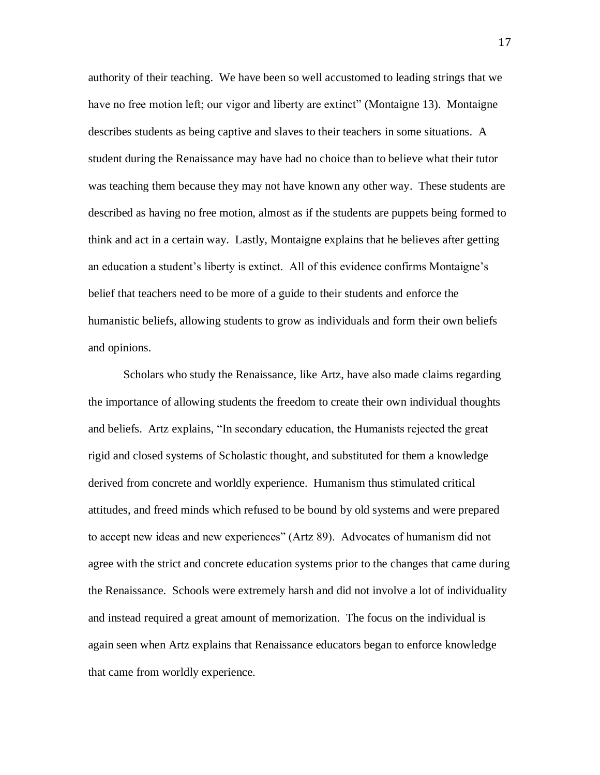authority of their teaching. We have been so well accustomed to leading strings that we have no free motion left; our vigor and liberty are extinct" (Montaigne 13). Montaigne describes students as being captive and slaves to their teachers in some situations. A student during the Renaissance may have had no choice than to believe what their tutor was teaching them because they may not have known any other way. These students are described as having no free motion, almost as if the students are puppets being formed to think and act in a certain way. Lastly, Montaigne explains that he believes after getting an education a student's liberty is extinct. All of this evidence confirms Montaigne's belief that teachers need to be more of a guide to their students and enforce the humanistic beliefs, allowing students to grow as individuals and form their own beliefs and opinions.

Scholars who study the Renaissance, like Artz, have also made claims regarding the importance of allowing students the freedom to create their own individual thoughts and beliefs. Artz explains, "In secondary education, the Humanists rejected the great rigid and closed systems of Scholastic thought, and substituted for them a knowledge derived from concrete and worldly experience. Humanism thus stimulated critical attitudes, and freed minds which refused to be bound by old systems and were prepared to accept new ideas and new experiences" (Artz 89). Advocates of humanism did not agree with the strict and concrete education systems prior to the changes that came during the Renaissance. Schools were extremely harsh and did not involve a lot of individuality and instead required a great amount of memorization. The focus on the individual is again seen when Artz explains that Renaissance educators began to enforce knowledge that came from worldly experience.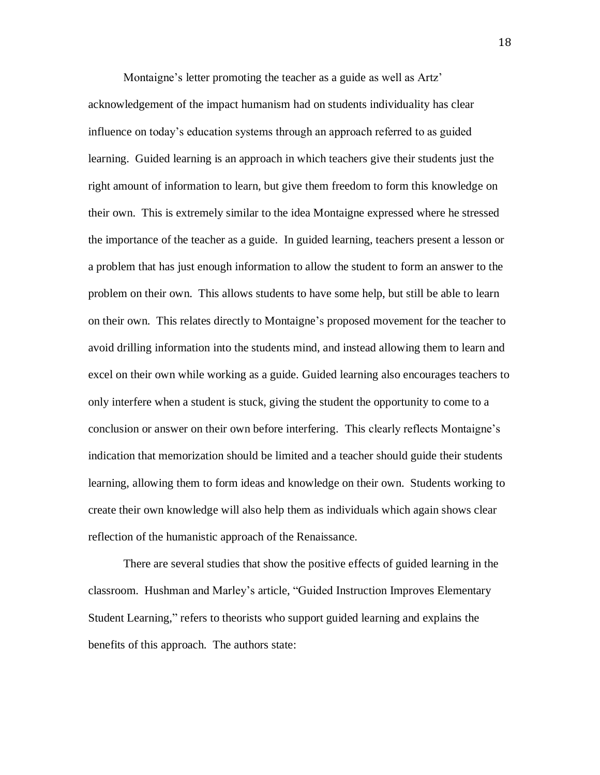Montaigne's letter promoting the teacher as a guide as well as Artz' acknowledgement of the impact humanism had on students individuality has clear influence on today's education systems through an approach referred to as guided learning. Guided learning is an approach in which teachers give their students just the right amount of information to learn, but give them freedom to form this knowledge on their own. This is extremely similar to the idea Montaigne expressed where he stressed the importance of the teacher as a guide. In guided learning, teachers present a lesson or a problem that has just enough information to allow the student to form an answer to the problem on their own. This allows students to have some help, but still be able to learn on their own. This relates directly to Montaigne's proposed movement for the teacher to avoid drilling information into the students mind, and instead allowing them to learn and excel on their own while working as a guide. Guided learning also encourages teachers to only interfere when a student is stuck, giving the student the opportunity to come to a conclusion or answer on their own before interfering. This clearly reflects Montaigne's indication that memorization should be limited and a teacher should guide their students learning, allowing them to form ideas and knowledge on their own. Students working to create their own knowledge will also help them as individuals which again shows clear reflection of the humanistic approach of the Renaissance.

There are several studies that show the positive effects of guided learning in the classroom. Hushman and Marley's article, "Guided Instruction Improves Elementary Student Learning," refers to theorists who support guided learning and explains the benefits of this approach. The authors state: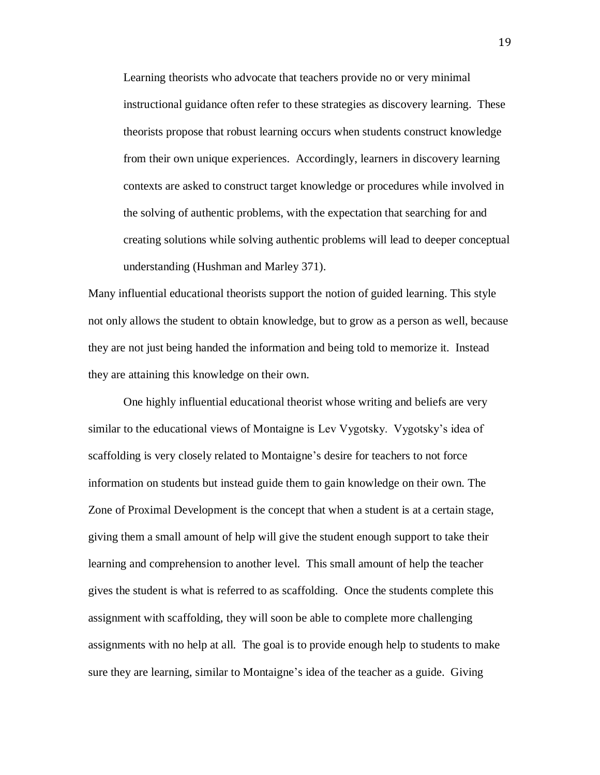Learning theorists who advocate that teachers provide no or very minimal instructional guidance often refer to these strategies as discovery learning. These theorists propose that robust learning occurs when students construct knowledge from their own unique experiences. Accordingly, learners in discovery learning contexts are asked to construct target knowledge or procedures while involved in the solving of authentic problems, with the expectation that searching for and creating solutions while solving authentic problems will lead to deeper conceptual understanding (Hushman and Marley 371).

Many influential educational theorists support the notion of guided learning. This style not only allows the student to obtain knowledge, but to grow as a person as well, because they are not just being handed the information and being told to memorize it. Instead they are attaining this knowledge on their own.

One highly influential educational theorist whose writing and beliefs are very similar to the educational views of Montaigne is Lev Vygotsky. Vygotsky's idea of scaffolding is very closely related to Montaigne's desire for teachers to not force information on students but instead guide them to gain knowledge on their own. The Zone of Proximal Development is the concept that when a student is at a certain stage, giving them a small amount of help will give the student enough support to take their learning and comprehension to another level. This small amount of help the teacher gives the student is what is referred to as scaffolding. Once the students complete this assignment with scaffolding, they will soon be able to complete more challenging assignments with no help at all. The goal is to provide enough help to students to make sure they are learning, similar to Montaigne's idea of the teacher as a guide. Giving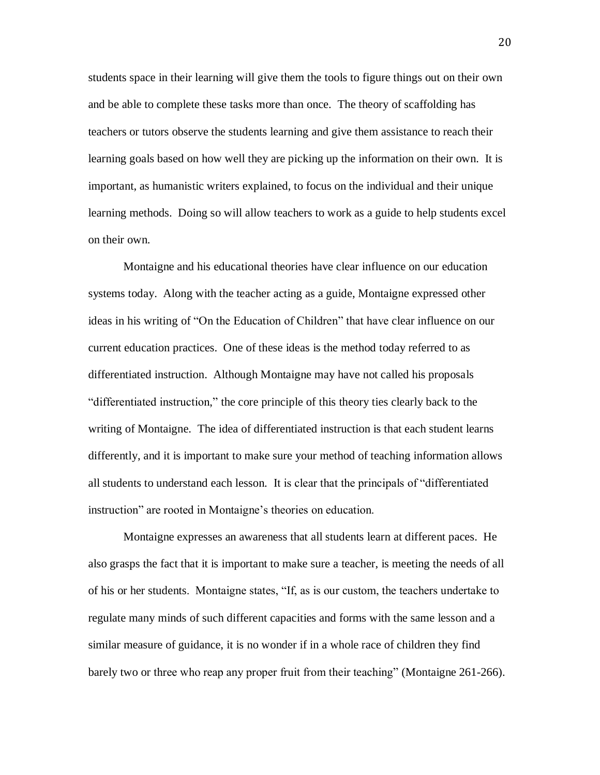students space in their learning will give them the tools to figure things out on their own and be able to complete these tasks more than once. The theory of scaffolding has teachers or tutors observe the students learning and give them assistance to reach their learning goals based on how well they are picking up the information on their own. It is important, as humanistic writers explained, to focus on the individual and their unique learning methods. Doing so will allow teachers to work as a guide to help students excel on their own.

Montaigne and his educational theories have clear influence on our education systems today. Along with the teacher acting as a guide, Montaigne expressed other ideas in his writing of "On the Education of Children" that have clear influence on our current education practices. One of these ideas is the method today referred to as differentiated instruction. Although Montaigne may have not called his proposals "differentiated instruction," the core principle of this theory ties clearly back to the writing of Montaigne. The idea of differentiated instruction is that each student learns differently, and it is important to make sure your method of teaching information allows all students to understand each lesson. It is clear that the principals of "differentiated instruction" are rooted in Montaigne's theories on education.

Montaigne expresses an awareness that all students learn at different paces. He also grasps the fact that it is important to make sure a teacher, is meeting the needs of all of his or her students. Montaigne states, "If, as is our custom, the teachers undertake to regulate many minds of such different capacities and forms with the same lesson and a similar measure of guidance, it is no wonder if in a whole race of children they find barely two or three who reap any proper fruit from their teaching" (Montaigne 261-266).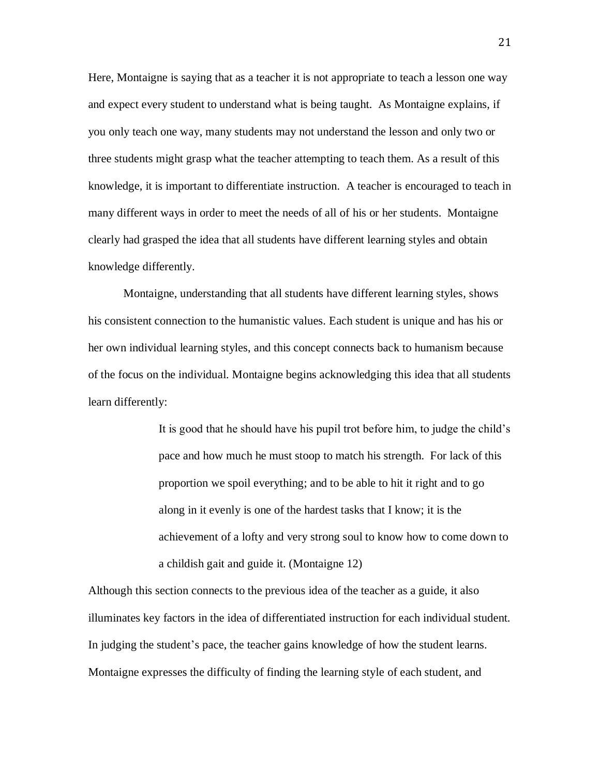Here, Montaigne is saying that as a teacher it is not appropriate to teach a lesson one way and expect every student to understand what is being taught. As Montaigne explains, if you only teach one way, many students may not understand the lesson and only two or three students might grasp what the teacher attempting to teach them. As a result of this knowledge, it is important to differentiate instruction. A teacher is encouraged to teach in many different ways in order to meet the needs of all of his or her students. Montaigne clearly had grasped the idea that all students have different learning styles and obtain knowledge differently.

Montaigne, understanding that all students have different learning styles, shows his consistent connection to the humanistic values. Each student is unique and has his or her own individual learning styles, and this concept connects back to humanism because of the focus on the individual. Montaigne begins acknowledging this idea that all students learn differently:

> It is good that he should have his pupil trot before him, to judge the child's pace and how much he must stoop to match his strength. For lack of this proportion we spoil everything; and to be able to hit it right and to go along in it evenly is one of the hardest tasks that I know; it is the achievement of a lofty and very strong soul to know how to come down to a childish gait and guide it. (Montaigne 12)

Although this section connects to the previous idea of the teacher as a guide, it also illuminates key factors in the idea of differentiated instruction for each individual student. In judging the student's pace, the teacher gains knowledge of how the student learns. Montaigne expresses the difficulty of finding the learning style of each student, and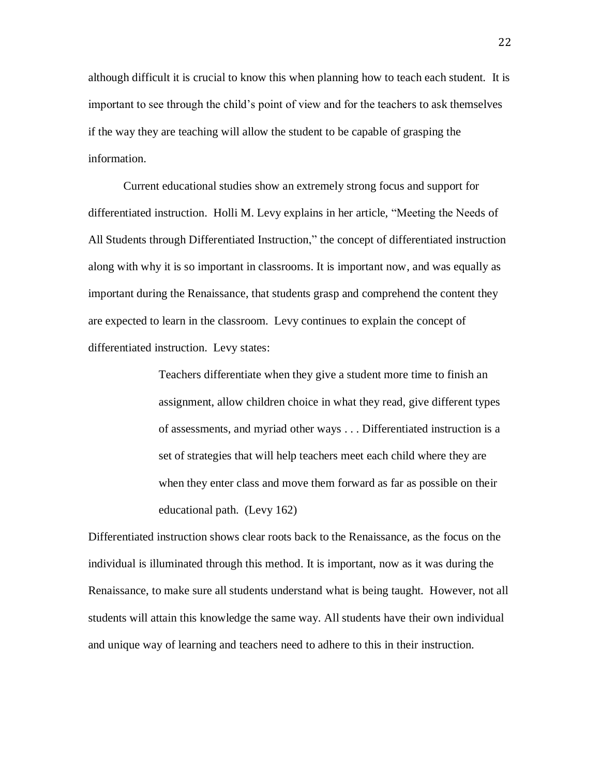although difficult it is crucial to know this when planning how to teach each student. It is important to see through the child's point of view and for the teachers to ask themselves if the way they are teaching will allow the student to be capable of grasping the information.

Current educational studies show an extremely strong focus and support for differentiated instruction. Holli M. Levy explains in her article, "Meeting the Needs of All Students through Differentiated Instruction," the concept of differentiated instruction along with why it is so important in classrooms. It is important now, and was equally as important during the Renaissance, that students grasp and comprehend the content they are expected to learn in the classroom. Levy continues to explain the concept of differentiated instruction. Levy states:

> Teachers differentiate when they give a student more time to finish an assignment, allow children choice in what they read, give different types of assessments, and myriad other ways . . . Differentiated instruction is a set of strategies that will help teachers meet each child where they are when they enter class and move them forward as far as possible on their educational path. (Levy 162)

Differentiated instruction shows clear roots back to the Renaissance, as the focus on the individual is illuminated through this method. It is important, now as it was during the Renaissance, to make sure all students understand what is being taught. However, not all students will attain this knowledge the same way. All students have their own individual and unique way of learning and teachers need to adhere to this in their instruction.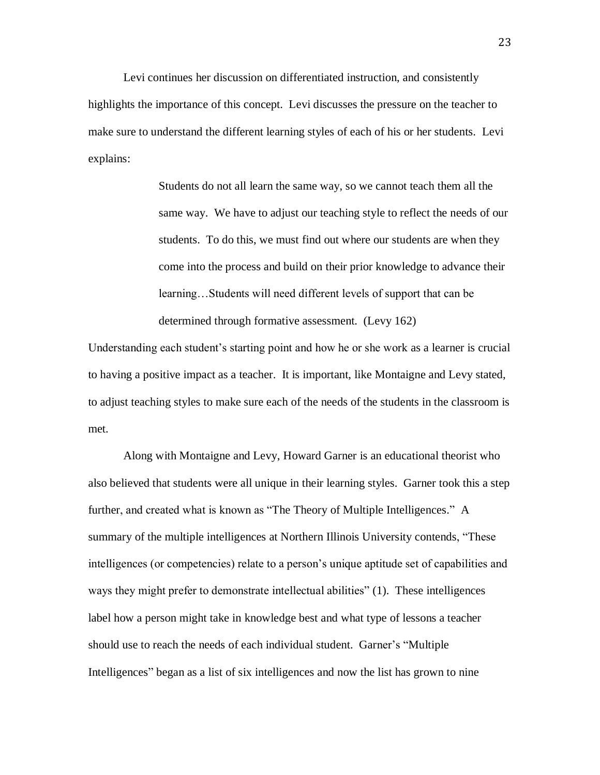Levi continues her discussion on differentiated instruction, and consistently highlights the importance of this concept. Levi discusses the pressure on the teacher to make sure to understand the different learning styles of each of his or her students. Levi explains:

> Students do not all learn the same way, so we cannot teach them all the same way. We have to adjust our teaching style to reflect the needs of our students. To do this, we must find out where our students are when they come into the process and build on their prior knowledge to advance their learning…Students will need different levels of support that can be determined through formative assessment. (Levy 162)

Understanding each student's starting point and how he or she work as a learner is crucial to having a positive impact as a teacher. It is important, like Montaigne and Levy stated, to adjust teaching styles to make sure each of the needs of the students in the classroom is met.

Along with Montaigne and Levy, Howard Garner is an educational theorist who also believed that students were all unique in their learning styles. Garner took this a step further, and created what is known as "The Theory of Multiple Intelligences." A summary of the multiple intelligences at Northern Illinois University contends, "These intelligences (or competencies) relate to a person's unique aptitude set of capabilities and ways they might prefer to demonstrate intellectual abilities" (1). These intelligences label how a person might take in knowledge best and what type of lessons a teacher should use to reach the needs of each individual student. Garner's "Multiple Intelligences" began as a list of six intelligences and now the list has grown to nine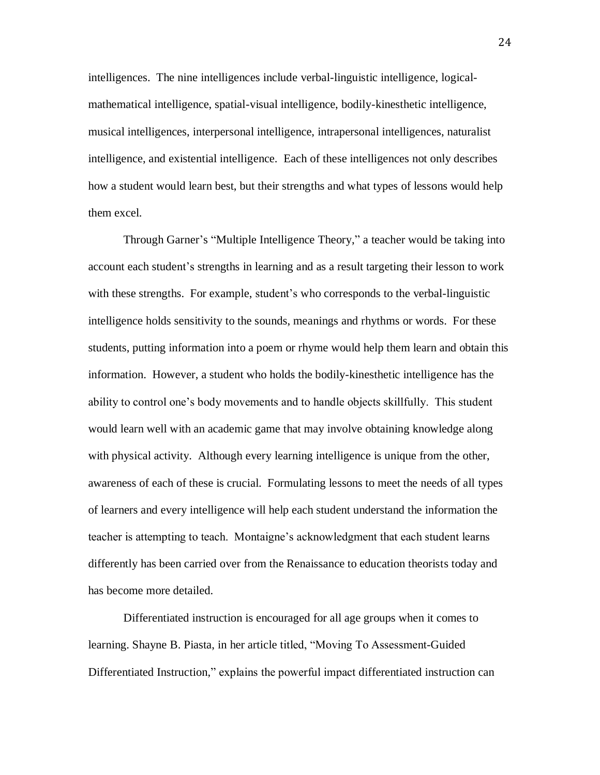intelligences. The nine intelligences include verbal-linguistic intelligence, logicalmathematical intelligence, spatial-visual intelligence, bodily-kinesthetic intelligence, musical intelligences, interpersonal intelligence, intrapersonal intelligences, naturalist intelligence, and existential intelligence. Each of these intelligences not only describes how a student would learn best, but their strengths and what types of lessons would help them excel.

Through Garner's "Multiple Intelligence Theory," a teacher would be taking into account each student's strengths in learning and as a result targeting their lesson to work with these strengths. For example, student's who corresponds to the verbal-linguistic intelligence holds sensitivity to the sounds, meanings and rhythms or words. For these students, putting information into a poem or rhyme would help them learn and obtain this information. However, a student who holds the bodily-kinesthetic intelligence has the ability to control one's body movements and to handle objects skillfully. This student would learn well with an academic game that may involve obtaining knowledge along with physical activity. Although every learning intelligence is unique from the other, awareness of each of these is crucial. Formulating lessons to meet the needs of all types of learners and every intelligence will help each student understand the information the teacher is attempting to teach. Montaigne's acknowledgment that each student learns differently has been carried over from the Renaissance to education theorists today and has become more detailed.

Differentiated instruction is encouraged for all age groups when it comes to learning. Shayne B. Piasta, in her article titled, "Moving To Assessment-Guided Differentiated Instruction," explains the powerful impact differentiated instruction can

24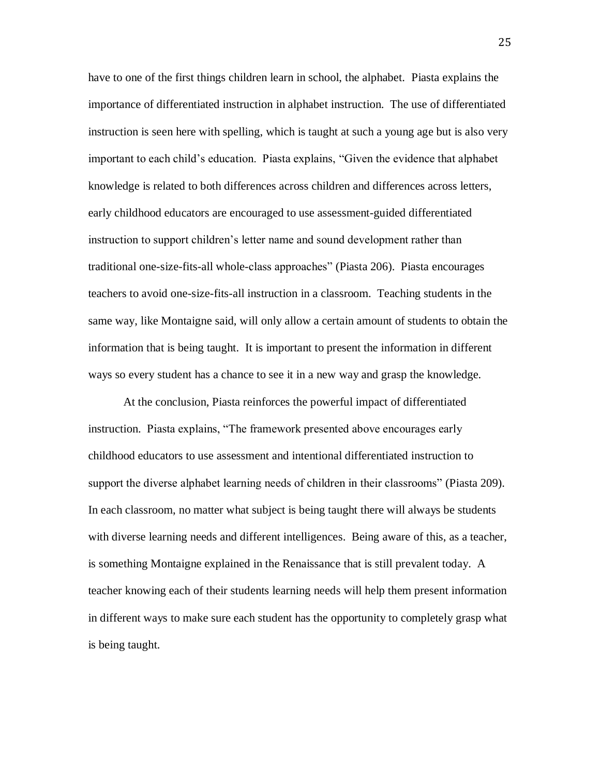have to one of the first things children learn in school, the alphabet. Piasta explains the importance of differentiated instruction in alphabet instruction. The use of differentiated instruction is seen here with spelling, which is taught at such a young age but is also very important to each child's education. Piasta explains, "Given the evidence that alphabet knowledge is related to both differences across children and differences across letters, early childhood educators are encouraged to use assessment-guided differentiated instruction to support children's letter name and sound development rather than traditional one-size-fits-all whole-class approaches" (Piasta 206). Piasta encourages teachers to avoid one-size-fits-all instruction in a classroom. Teaching students in the same way, like Montaigne said, will only allow a certain amount of students to obtain the information that is being taught. It is important to present the information in different ways so every student has a chance to see it in a new way and grasp the knowledge.

At the conclusion, Piasta reinforces the powerful impact of differentiated instruction. Piasta explains, "The framework presented above encourages early childhood educators to use assessment and intentional differentiated instruction to support the diverse alphabet learning needs of children in their classrooms" (Piasta 209). In each classroom, no matter what subject is being taught there will always be students with diverse learning needs and different intelligences. Being aware of this, as a teacher, is something Montaigne explained in the Renaissance that is still prevalent today. A teacher knowing each of their students learning needs will help them present information in different ways to make sure each student has the opportunity to completely grasp what is being taught.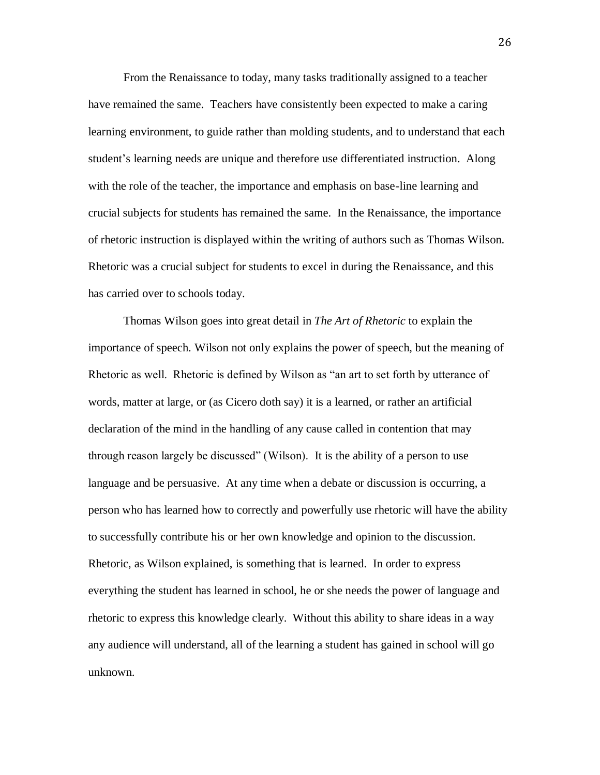From the Renaissance to today, many tasks traditionally assigned to a teacher have remained the same. Teachers have consistently been expected to make a caring learning environment, to guide rather than molding students, and to understand that each student's learning needs are unique and therefore use differentiated instruction. Along with the role of the teacher, the importance and emphasis on base-line learning and crucial subjects for students has remained the same. In the Renaissance, the importance of rhetoric instruction is displayed within the writing of authors such as Thomas Wilson. Rhetoric was a crucial subject for students to excel in during the Renaissance, and this has carried over to schools today.

Thomas Wilson goes into great detail in *The Art of Rhetoric* to explain the importance of speech. Wilson not only explains the power of speech, but the meaning of Rhetoric as well. Rhetoric is defined by Wilson as "an art to set forth by utterance of words, matter at large, or (as Cicero doth say) it is a learned, or rather an artificial declaration of the mind in the handling of any cause called in contention that may through reason largely be discussed" (Wilson). It is the ability of a person to use language and be persuasive. At any time when a debate or discussion is occurring, a person who has learned how to correctly and powerfully use rhetoric will have the ability to successfully contribute his or her own knowledge and opinion to the discussion. Rhetoric, as Wilson explained, is something that is learned. In order to express everything the student has learned in school, he or she needs the power of language and rhetoric to express this knowledge clearly. Without this ability to share ideas in a way any audience will understand, all of the learning a student has gained in school will go unknown.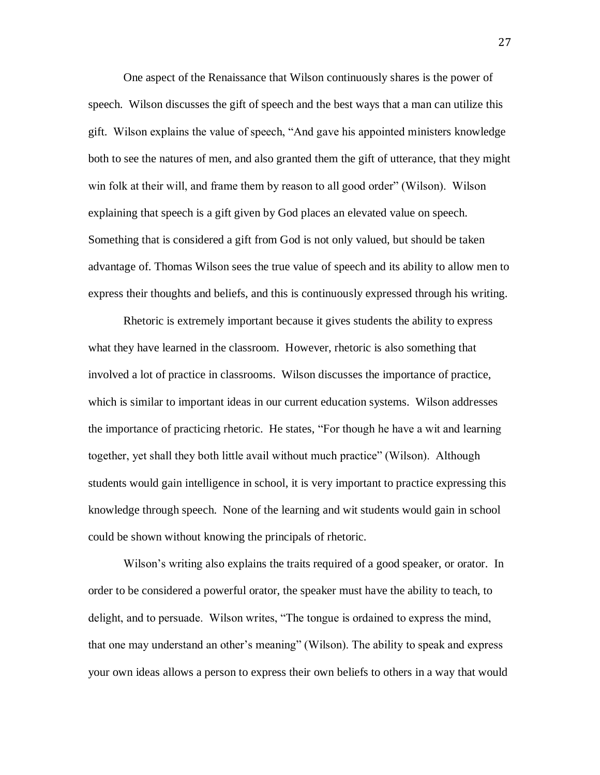One aspect of the Renaissance that Wilson continuously shares is the power of speech. Wilson discusses the gift of speech and the best ways that a man can utilize this gift. Wilson explains the value of speech, "And gave his appointed ministers knowledge both to see the natures of men, and also granted them the gift of utterance, that they might win folk at their will, and frame them by reason to all good order" (Wilson). Wilson explaining that speech is a gift given by God places an elevated value on speech. Something that is considered a gift from God is not only valued, but should be taken advantage of. Thomas Wilson sees the true value of speech and its ability to allow men to express their thoughts and beliefs, and this is continuously expressed through his writing.

Rhetoric is extremely important because it gives students the ability to express what they have learned in the classroom. However, rhetoric is also something that involved a lot of practice in classrooms. Wilson discusses the importance of practice, which is similar to important ideas in our current education systems. Wilson addresses the importance of practicing rhetoric. He states, "For though he have a wit and learning together, yet shall they both little avail without much practice" (Wilson). Although students would gain intelligence in school, it is very important to practice expressing this knowledge through speech. None of the learning and wit students would gain in school could be shown without knowing the principals of rhetoric.

Wilson's writing also explains the traits required of a good speaker, or orator. In order to be considered a powerful orator, the speaker must have the ability to teach, to delight, and to persuade. Wilson writes, "The tongue is ordained to express the mind, that one may understand an other's meaning" (Wilson). The ability to speak and express your own ideas allows a person to express their own beliefs to others in a way that would

27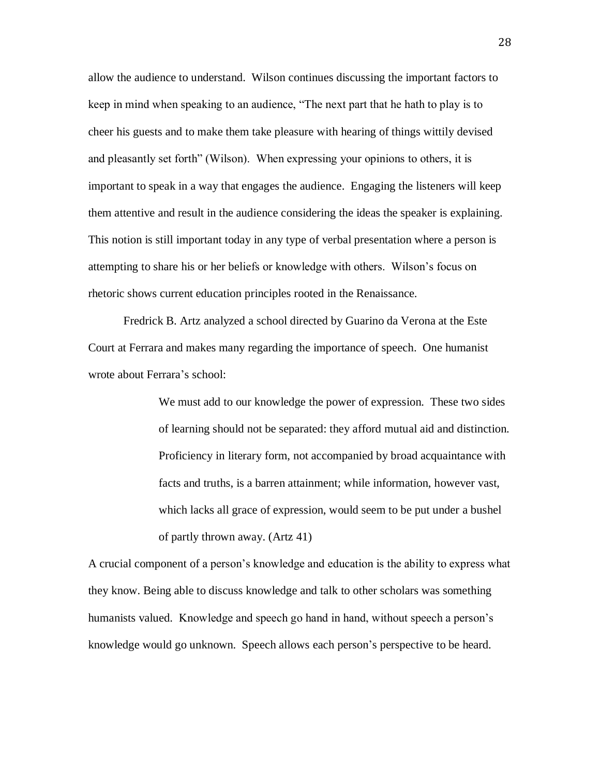allow the audience to understand. Wilson continues discussing the important factors to keep in mind when speaking to an audience, "The next part that he hath to play is to cheer his guests and to make them take pleasure with hearing of things wittily devised and pleasantly set forth" (Wilson). When expressing your opinions to others, it is important to speak in a way that engages the audience. Engaging the listeners will keep them attentive and result in the audience considering the ideas the speaker is explaining. This notion is still important today in any type of verbal presentation where a person is attempting to share his or her beliefs or knowledge with others. Wilson's focus on rhetoric shows current education principles rooted in the Renaissance.

Fredrick B. Artz analyzed a school directed by Guarino da Verona at the Este Court at Ferrara and makes many regarding the importance of speech. One humanist wrote about Ferrara's school:

> We must add to our knowledge the power of expression. These two sides of learning should not be separated: they afford mutual aid and distinction. Proficiency in literary form, not accompanied by broad acquaintance with facts and truths, is a barren attainment; while information, however vast, which lacks all grace of expression, would seem to be put under a bushel of partly thrown away. (Artz 41)

A crucial component of a person's knowledge and education is the ability to express what they know. Being able to discuss knowledge and talk to other scholars was something humanists valued. Knowledge and speech go hand in hand, without speech a person's knowledge would go unknown. Speech allows each person's perspective to be heard.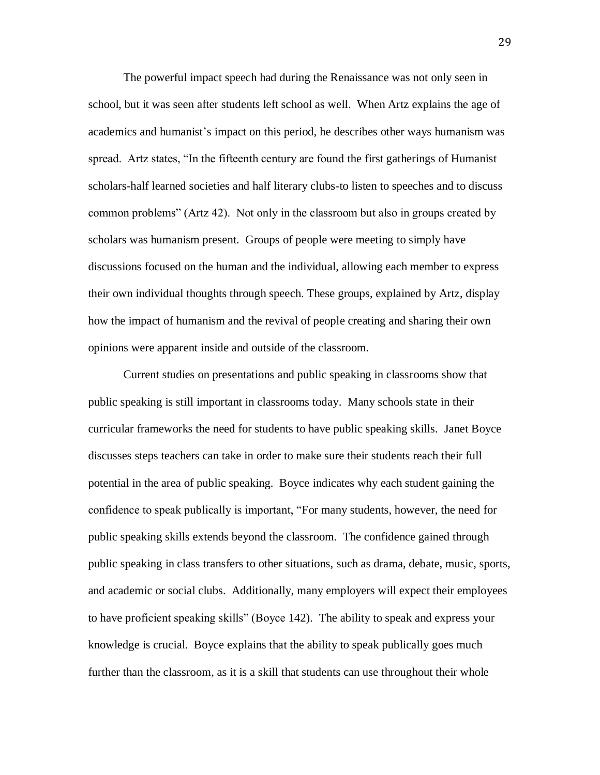The powerful impact speech had during the Renaissance was not only seen in school, but it was seen after students left school as well. When Artz explains the age of academics and humanist's impact on this period, he describes other ways humanism was spread. Artz states, "In the fifteenth century are found the first gatherings of Humanist scholars-half learned societies and half literary clubs-to listen to speeches and to discuss common problems" (Artz 42). Not only in the classroom but also in groups created by scholars was humanism present. Groups of people were meeting to simply have discussions focused on the human and the individual, allowing each member to express their own individual thoughts through speech. These groups, explained by Artz, display how the impact of humanism and the revival of people creating and sharing their own opinions were apparent inside and outside of the classroom.

Current studies on presentations and public speaking in classrooms show that public speaking is still important in classrooms today. Many schools state in their curricular frameworks the need for students to have public speaking skills. Janet Boyce discusses steps teachers can take in order to make sure their students reach their full potential in the area of public speaking. Boyce indicates why each student gaining the confidence to speak publically is important, "For many students, however, the need for public speaking skills extends beyond the classroom. The confidence gained through public speaking in class transfers to other situations, such as drama, debate, music, sports, and academic or social clubs. Additionally, many employers will expect their employees to have proficient speaking skills" (Boyce 142). The ability to speak and express your knowledge is crucial. Boyce explains that the ability to speak publically goes much further than the classroom, as it is a skill that students can use throughout their whole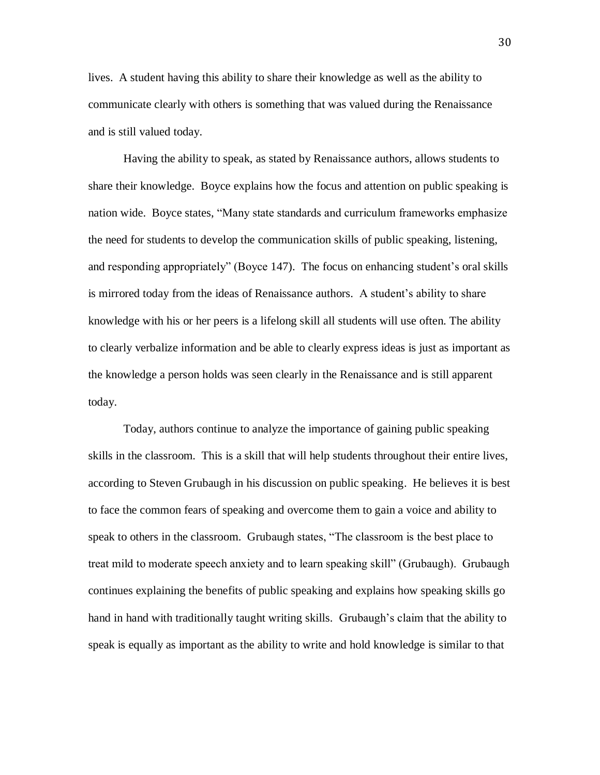lives. A student having this ability to share their knowledge as well as the ability to communicate clearly with others is something that was valued during the Renaissance and is still valued today.

Having the ability to speak, as stated by Renaissance authors, allows students to share their knowledge. Boyce explains how the focus and attention on public speaking is nation wide. Boyce states, "Many state standards and curriculum frameworks emphasize the need for students to develop the communication skills of public speaking, listening, and responding appropriately" (Boyce 147). The focus on enhancing student's oral skills is mirrored today from the ideas of Renaissance authors. A student's ability to share knowledge with his or her peers is a lifelong skill all students will use often. The ability to clearly verbalize information and be able to clearly express ideas is just as important as the knowledge a person holds was seen clearly in the Renaissance and is still apparent today.

Today, authors continue to analyze the importance of gaining public speaking skills in the classroom. This is a skill that will help students throughout their entire lives, according to Steven Grubaugh in his discussion on public speaking. He believes it is best to face the common fears of speaking and overcome them to gain a voice and ability to speak to others in the classroom. Grubaugh states, "The classroom is the best place to treat mild to moderate speech anxiety and to learn speaking skill" (Grubaugh). Grubaugh continues explaining the benefits of public speaking and explains how speaking skills go hand in hand with traditionally taught writing skills. Grubaugh's claim that the ability to speak is equally as important as the ability to write and hold knowledge is similar to that

30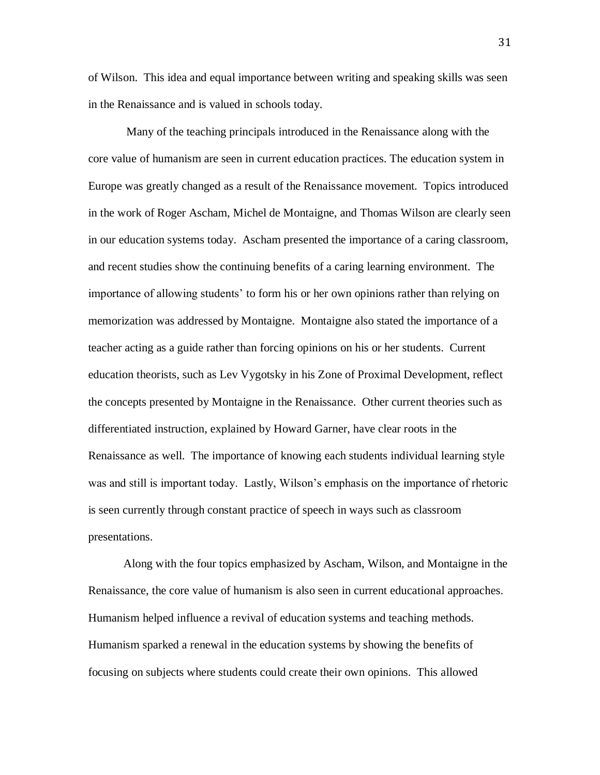of Wilson. This idea and equal importance between writing and speaking skills was seen in the Renaissance and is valued in schools today.

Many of the teaching principals introduced in the Renaissance along with the core value of humanism are seen in current education practices. The education system in Europe was greatly changed as a result of the Renaissance movement. Topics introduced in the work of Roger Ascham, Michel de Montaigne, and Thomas Wilson are clearly seen in our education systems today. Ascham presented the importance of a caring classroom, and recent studies show the continuing benefits of a caring learning environment. The importance of allowing students' to form his or her own opinions rather than relying on memorization was addressed by Montaigne. Montaigne also stated the importance of a teacher acting as a guide rather than forcing opinions on his or her students. Current education theorists, such as Lev Vygotsky in his Zone of Proximal Development, reflect the concepts presented by Montaigne in the Renaissance. Other current theories such as differentiated instruction, explained by Howard Garner, have clear roots in the Renaissance as well. The importance of knowing each students individual learning style was and still is important today. Lastly, Wilson's emphasis on the importance of rhetoric is seen currently through constant practice of speech in ways such as classroom presentations.

Along with the four topics emphasized by Ascham, Wilson, and Montaigne in the Renaissance, the core value of humanism is also seen in current educational approaches. Humanism helped influence a revival of education systems and teaching methods. Humanism sparked a renewal in the education systems by showing the benefits of focusing on subjects where students could create their own opinions. This allowed

31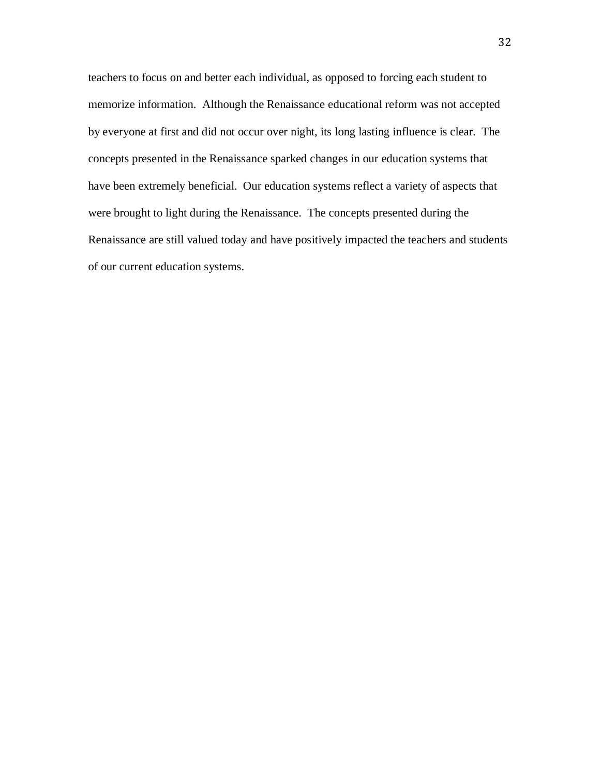teachers to focus on and better each individual, as opposed to forcing each student to memorize information. Although the Renaissance educational reform was not accepted by everyone at first and did not occur over night, its long lasting influence is clear. The concepts presented in the Renaissance sparked changes in our education systems that have been extremely beneficial. Our education systems reflect a variety of aspects that were brought to light during the Renaissance. The concepts presented during the Renaissance are still valued today and have positively impacted the teachers and students of our current education systems.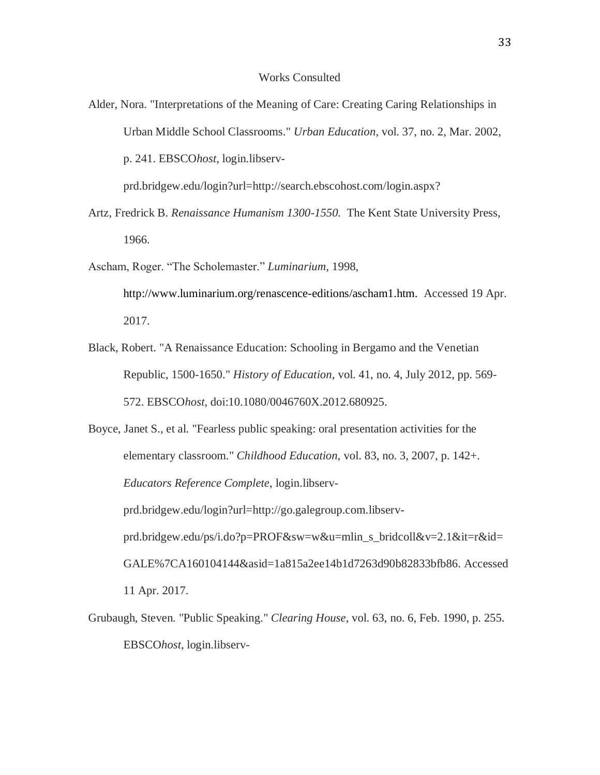- Alder, Nora. "Interpretations of the Meaning of Care: Creating Caring Relationships in Urban Middle School Classrooms." *Urban Education*, vol. 37, no. 2, Mar. 2002, p. 241. EBSCO*host*, login.libservprd.bridgew.edu/login?url=http://search.ebscohost.com/login.aspx?
- Artz, Fredrick B. *Renaissance Humanism 1300-1550.* The Kent State University Press, 1966.
- Ascham, Roger. "The Scholemaster." *Luminarium*, 1998, [http://www.luminarium.org/renascence-editions/ascham1.htm.](http://www.luminarium.org/renascence-editions/ascham1.htm) Accessed 19 Apr. 2017.
- Black, Robert. "A Renaissance Education: Schooling in Bergamo and the Venetian Republic, 1500-1650." *History of Education*, vol. 41, no. 4, July 2012, pp. 569- 572. EBSCO*host*, doi:10.1080/0046760X.2012.680925.
- Boyce, Janet S., et al. "Fearless public speaking: oral presentation activities for the elementary classroom." *Childhood Education*, vol. 83, no. 3, 2007, p. 142+. *Educators Reference Complete*, login.libservprd.bridgew.edu/login?url=http://go.galegroup.com.libservprd.bridgew.edu/ps/i.do?p=PROF&sw=w&u=mlin\_s\_bridcoll&v=2.1&it=r&id= GALE%7CA160104144&asid=1a815a2ee14b1d7263d90b82833bfb86. Accessed 11 Apr. 2017.
- Grubaugh, Steven. "Public Speaking." *Clearing House*, vol. 63, no. 6, Feb. 1990, p. 255. EBSCO*host*, login.libserv-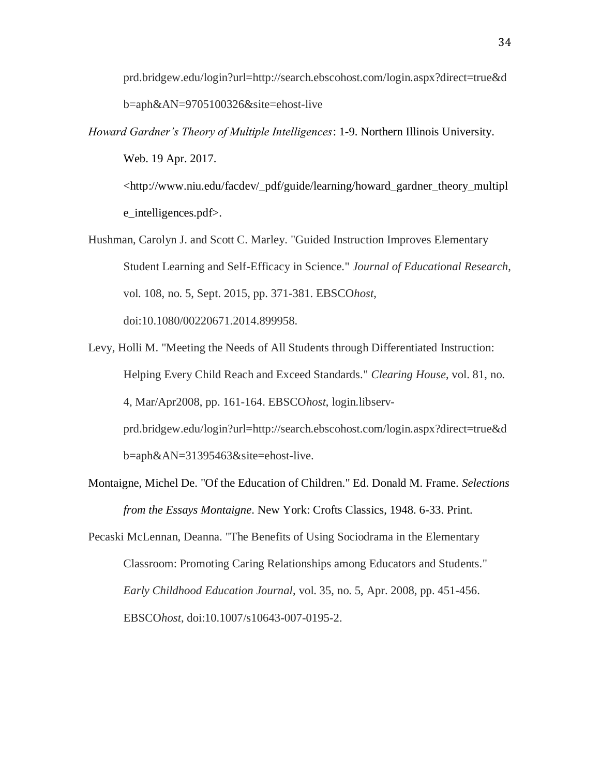prd.bridgew.edu/login?url=http://search.ebscohost.com/login.aspx?direct=true&d b=aph&AN=9705100326&site=ehost-live

*Howard Gardner's Theory of Multiple Intelligences*: 1-9. Northern Illinois University. Web. 19 Apr. 2017.

<http://www.niu.edu/facdev/\_pdf/guide/learning/howard\_gardner\_theory\_multipl e\_intelligences.pdf>.

- Hushman, Carolyn J. and Scott C. Marley. "Guided Instruction Improves Elementary Student Learning and Self-Efficacy in Science." *Journal of Educational Research*, vol. 108, no. 5, Sept. 2015, pp. 371-381. EBSCO*host*, doi:10.1080/00220671.2014.899958.
- Levy, Holli M. "Meeting the Needs of All Students through Differentiated Instruction: Helping Every Child Reach and Exceed Standards." *Clearing House*, vol. 81, no. 4, Mar/Apr2008, pp. 161-164. EBSCO*host*, login.libservprd.bridgew.edu/login?url=http://search.ebscohost.com/login.aspx?direct=true&d b=aph&AN=31395463&site=ehost-live.
- Montaigne, Michel De. "Of the Education of Children." Ed. Donald M. Frame. *Selections from the Essays Montaigne*. New York: Crofts Classics, 1948. 6-33. Print.
- Pecaski McLennan, Deanna. "The Benefits of Using Sociodrama in the Elementary Classroom: Promoting Caring Relationships among Educators and Students." *Early Childhood Education Journal*, vol. 35, no. 5, Apr. 2008, pp. 451-456. EBSCO*host*, doi:10.1007/s10643-007-0195-2.